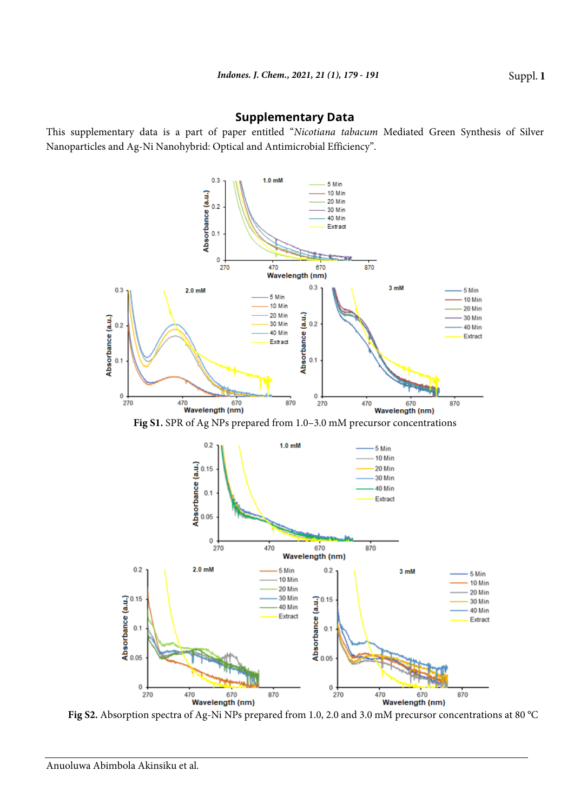## **Supplementary Data**

This supplementary data is a part of paper entitled "*Nicotiana tabacum* Mediated Green Synthesis of Silver Nanoparticles and Ag-Ni Nanohybrid: Optical and Antimicrobial Efficiency".